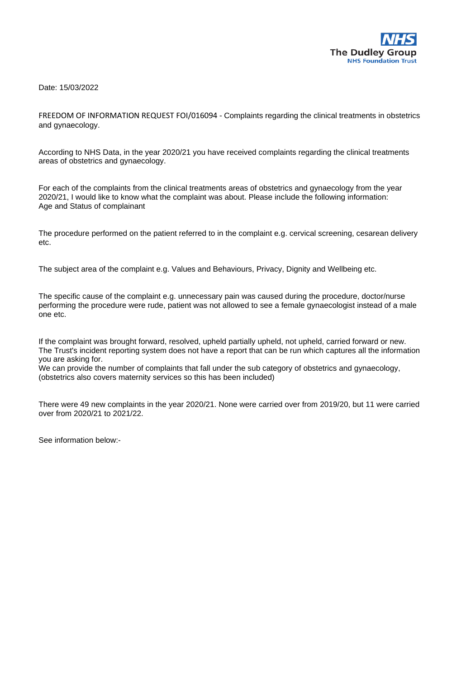

Date: 15/03/2022

FREEDOM OF INFORMATION REQUEST FOI/016094 - Complaints regarding the clinical treatments in obstetrics and gynaecology.

According to NHS Data, in the year 2020/21 you have received complaints regarding the clinical treatments areas of obstetrics and gynaecology.

For each of the complaints from the clinical treatments areas of obstetrics and gynaecology from the year 2020/21, I would like to know what the complaint was about. Please include the following information: Age and Status of complainant

The procedure performed on the patient referred to in the complaint e.g. cervical screening, cesarean delivery etc.

The subject area of the complaint e.g. Values and Behaviours, Privacy, Dignity and Wellbeing etc.

The specific cause of the complaint e.g. unnecessary pain was caused during the procedure, doctor/nurse performing the procedure were rude, patient was not allowed to see a female gynaecologist instead of a male one etc.

If the complaint was brought forward, resolved, upheld partially upheld, not upheld, carried forward or new. The Trust's incident reporting system does not have a report that can be run which captures all the information you are asking for.

We can provide the number of complaints that fall under the sub category of obstetrics and gynaecology, (obstetrics also covers maternity services so this has been included)

There were 49 new complaints in the year 2020/21. None were carried over from 2019/20, but 11 were carried over from 2020/21 to 2021/22.

See information below:-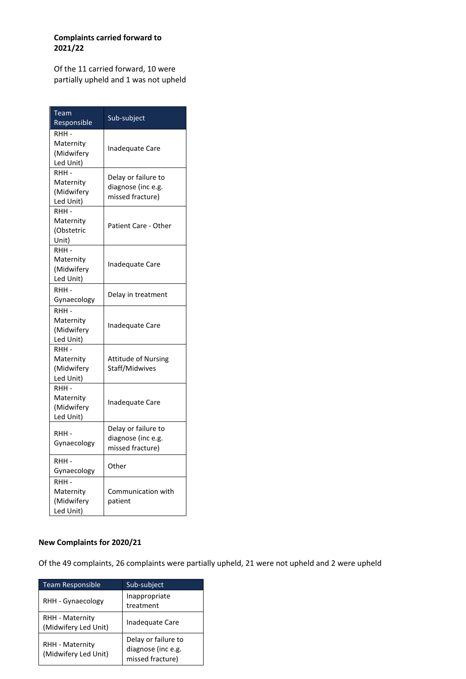## **Complaints carried forward to 2021/22**

Of the 11 carried forward, 10 were partially upheld and 1 was not upheld

| Team<br>Responsible                           | Sub-subject                                                   |
|-----------------------------------------------|---------------------------------------------------------------|
| RHH -<br>Maternity<br>(Midwifery<br>Led Unit) | <b>Inadequate Care</b>                                        |
| RHH -<br>Maternity<br>(Midwifery<br>Led Unit) | Delay or failure to<br>diagnose (inc e.g.<br>missed fracture) |
| RHH -<br>Maternity<br>(Obstetric<br>Unit)     | Patient Care - Other                                          |
| RHH -<br>Maternity<br>(Midwifery<br>Led Unit) | <b>Inadequate Care</b>                                        |
| RHH-<br>Gynaecology                           | Delay in treatment                                            |
| RHH-<br>Maternity<br>(Midwifery<br>Led Unit)  | Inadequate Care                                               |
| RHH -<br>Maternity<br>(Midwifery<br>Led Unit) | <b>Attitude of Nursing</b><br>Staff/Midwives                  |
| RHH -<br>Maternity<br>(Midwifery<br>Led Unit) | <b>Inadequate Care</b>                                        |
| RHH -<br>Gynaecology                          | Delay or failure to<br>diagnose (inc e.g.<br>missed fracture) |
| RHH -<br>Gynaecology                          | Other                                                         |
| RHH-<br>Maternity<br>(Midwifery<br>Led Unit)  | Communication with<br>patient                                 |

## **New Complaints for 2020/21**

Of the 49 complaints, 26 complaints were partially upheld, 21 were not upheld and 2 were upheld

| <b>Team Responsible</b>                        | Sub-subject                                                   |
|------------------------------------------------|---------------------------------------------------------------|
| RHH - Gynaecology                              | Inappropriate<br>treatment                                    |
| <b>RHH - Maternity</b><br>(Midwifery Led Unit) | Inadequate Care                                               |
| RHH - Maternity<br>(Midwifery Led Unit)        | Delay or failure to<br>diagnose (inc e.g.<br>missed fracture) |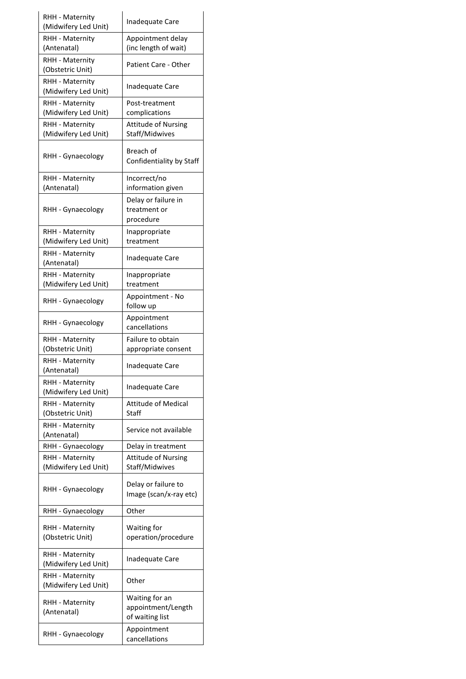| RHH - Maternity<br>(Midwifery Led Unit) | Inadequate Care                                         |
|-----------------------------------------|---------------------------------------------------------|
| RHH - Maternity<br>(Antenatal)          | Appointment delay<br>(inc length of wait)               |
| RHH - Maternity                         |                                                         |
| (Obstetric Unit)                        | Patient Care - Other                                    |
| RHH - Maternity<br>(Midwifery Led Unit) | Inadequate Care                                         |
| RHH - Maternity                         | Post-treatment                                          |
| (Midwifery Led Unit)                    | complications                                           |
| RHH - Maternity<br>(Midwifery Led Unit) | <b>Attitude of Nursing</b><br>Staff/Midwives            |
| RHH - Gynaecology                       | Breach of<br>Confidentiality by Staff                   |
| RHH - Maternity                         | Incorrect/no                                            |
| (Antenatal)                             | information given                                       |
| RHH - Gynaecology                       | Delay or failure in<br>treatment or                     |
|                                         | procedure                                               |
| RHH - Maternity                         | Inappropriate                                           |
| (Midwifery Led Unit)                    | treatment                                               |
| RHH - Maternity<br>(Antenatal)          | Inadequate Care                                         |
| RHH - Maternity                         | Inappropriate                                           |
| (Midwifery Led Unit)                    | treatment                                               |
| RHH - Gynaecology                       | Appointment - No<br>follow up                           |
| RHH - Gynaecology                       | Appointment<br>cancellations                            |
| RHH - Maternity                         | Failure to obtain                                       |
| (Obstetric Unit)                        | appropriate consent                                     |
| RHH - Maternity<br>(Antenatal)          | Inadequate Care                                         |
| RHH - Maternity<br>(Midwifery Led Unit) | Inadequate Care                                         |
| RHH - Maternity                         | <b>Attitude of Medical</b>                              |
| (Obstetric Unit)                        | Staff                                                   |
| RHH - Maternity<br>(Antenatal)          | Service not available                                   |
| RHH - Gynaecology                       | Delay in treatment                                      |
| RHH - Maternity<br>(Midwifery Led Unit) | <b>Attitude of Nursing</b><br>Staff/Midwives            |
| RHH - Gynaecology                       | Delay or failure to<br>Image (scan/x-ray etc)           |
| RHH - Gynaecology                       | Other                                                   |
| RHH - Maternity                         | Waiting for                                             |
| (Obstetric Unit)                        | operation/procedure                                     |
| RHH - Maternity<br>(Midwifery Led Unit) | Inadequate Care                                         |
| RHH - Maternity<br>(Midwifery Led Unit) | Other                                                   |
| RHH - Maternity<br>(Antenatal)          | Waiting for an<br>appointment/Length<br>of waiting list |
| RHH - Gynaecology                       | Appointment<br>cancellations                            |